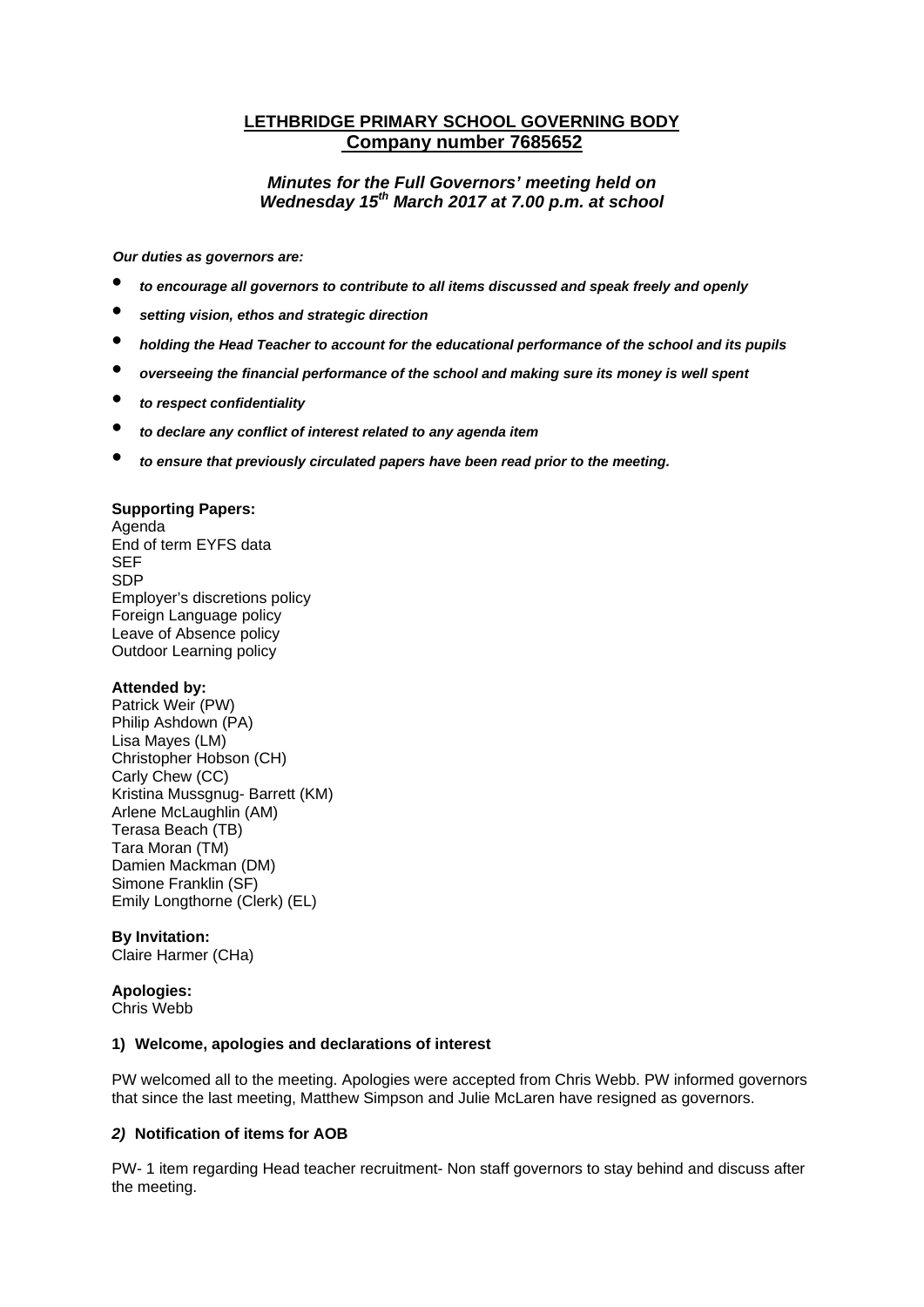# **LETHBRIDGE PRIMARY SCHOOL GOVERNING BODY Company number 7685652**

# *Minutes for the Full Governors' meeting held on Wednesday 15th March 2017 at 7.00 p.m. at school*

*Our duties as governors are:* 

- *to encourage all governors to contribute to all items discussed and speak freely and openly*
- *setting vision, ethos and strategic direction*
- *holding the Head Teacher to account for the educational performance of the school and its pupils*
- *overseeing the financial performance of the school and making sure its money is well spent*
- *to respect confidentiality*
- *to declare any conflict of interest related to any agenda item*
- *to ensure that previously circulated papers have been read prior to the meeting.*

#### **Supporting Papers:**

Agenda End of term EYFS data SEF SDP Employer's discretions policy Foreign Language policy Leave of Absence policy Outdoor Learning policy

#### **Attended by:**

Patrick Weir (PW) Philip Ashdown (PA) Lisa Mayes (LM) Christopher Hobson (CH) Carly Chew (CC) Kristina Mussgnug- Barrett (KM) Arlene McLaughlin (AM) Terasa Beach (TB) Tara Moran (TM) Damien Mackman (DM) Simone Franklin (SF) Emily Longthorne (Clerk) (EL)

#### **By Invitation:**

Claire Harmer (CHa)

#### **Apologies:**

Chris Webb

#### **1) Welcome, apologies and declarations of interest**

PW welcomed all to the meeting. Apologies were accepted from Chris Webb. PW informed governors that since the last meeting, Matthew Simpson and Julie McLaren have resigned as governors.

#### *2)* **Notification of items for AOB**

PW- 1 item regarding Head teacher recruitment- Non staff governors to stay behind and discuss after the meeting.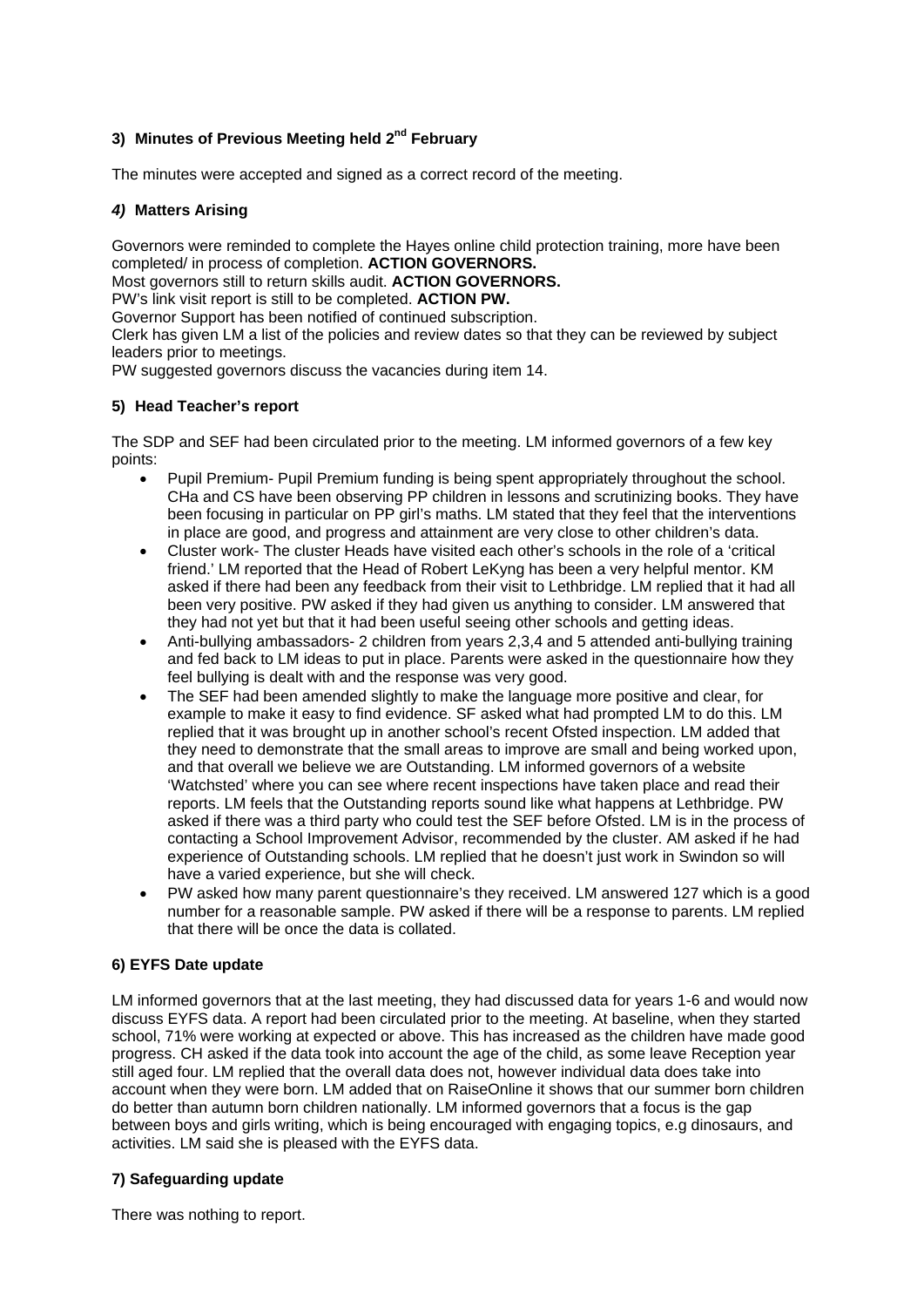# **3) Minutes of Previous Meeting held 2nd February**

The minutes were accepted and signed as a correct record of the meeting.

## *4)* **Matters Arising**

Governors were reminded to complete the Hayes online child protection training, more have been completed/ in process of completion. **ACTION GOVERNORS.** 

Most governors still to return skills audit. **ACTION GOVERNORS.** 

PW's link visit report is still to be completed. **ACTION PW.** 

Governor Support has been notified of continued subscription.

Clerk has given LM a list of the policies and review dates so that they can be reviewed by subject leaders prior to meetings.

PW suggested governors discuss the vacancies during item 14.

### **5) Head Teacher's report**

The SDP and SEF had been circulated prior to the meeting. LM informed governors of a few key points:

- Pupil Premium- Pupil Premium funding is being spent appropriately throughout the school. CHa and CS have been observing PP children in lessons and scrutinizing books. They have been focusing in particular on PP girl's maths. LM stated that they feel that the interventions in place are good, and progress and attainment are very close to other children's data.
- Cluster work- The cluster Heads have visited each other's schools in the role of a 'critical friend.' LM reported that the Head of Robert LeKyng has been a very helpful mentor. KM asked if there had been any feedback from their visit to Lethbridge. LM replied that it had all been very positive. PW asked if they had given us anything to consider. LM answered that they had not yet but that it had been useful seeing other schools and getting ideas.
- Anti-bullying ambassadors- 2 children from years 2,3,4 and 5 attended anti-bullying training and fed back to LM ideas to put in place. Parents were asked in the questionnaire how they feel bullying is dealt with and the response was very good.
- The SEF had been amended slightly to make the language more positive and clear, for example to make it easy to find evidence. SF asked what had prompted LM to do this. LM replied that it was brought up in another school's recent Ofsted inspection. LM added that they need to demonstrate that the small areas to improve are small and being worked upon, and that overall we believe we are Outstanding. LM informed governors of a website 'Watchsted' where you can see where recent inspections have taken place and read their reports. LM feels that the Outstanding reports sound like what happens at Lethbridge. PW asked if there was a third party who could test the SEF before Ofsted. LM is in the process of contacting a School Improvement Advisor, recommended by the cluster. AM asked if he had experience of Outstanding schools. LM replied that he doesn't just work in Swindon so will have a varied experience, but she will check.
- PW asked how many parent questionnaire's they received. LM answered 127 which is a good number for a reasonable sample. PW asked if there will be a response to parents. LM replied that there will be once the data is collated.

# **6) EYFS Date update**

LM informed governors that at the last meeting, they had discussed data for years 1-6 and would now discuss EYFS data. A report had been circulated prior to the meeting. At baseline, when they started school, 71% were working at expected or above. This has increased as the children have made good progress. CH asked if the data took into account the age of the child, as some leave Reception year still aged four. LM replied that the overall data does not, however individual data does take into account when they were born. LM added that on RaiseOnline it shows that our summer born children do better than autumn born children nationally. LM informed governors that a focus is the gap between boys and girls writing, which is being encouraged with engaging topics, e.g dinosaurs, and activities. LM said she is pleased with the EYFS data.

# **7) Safeguarding update**

There was nothing to report.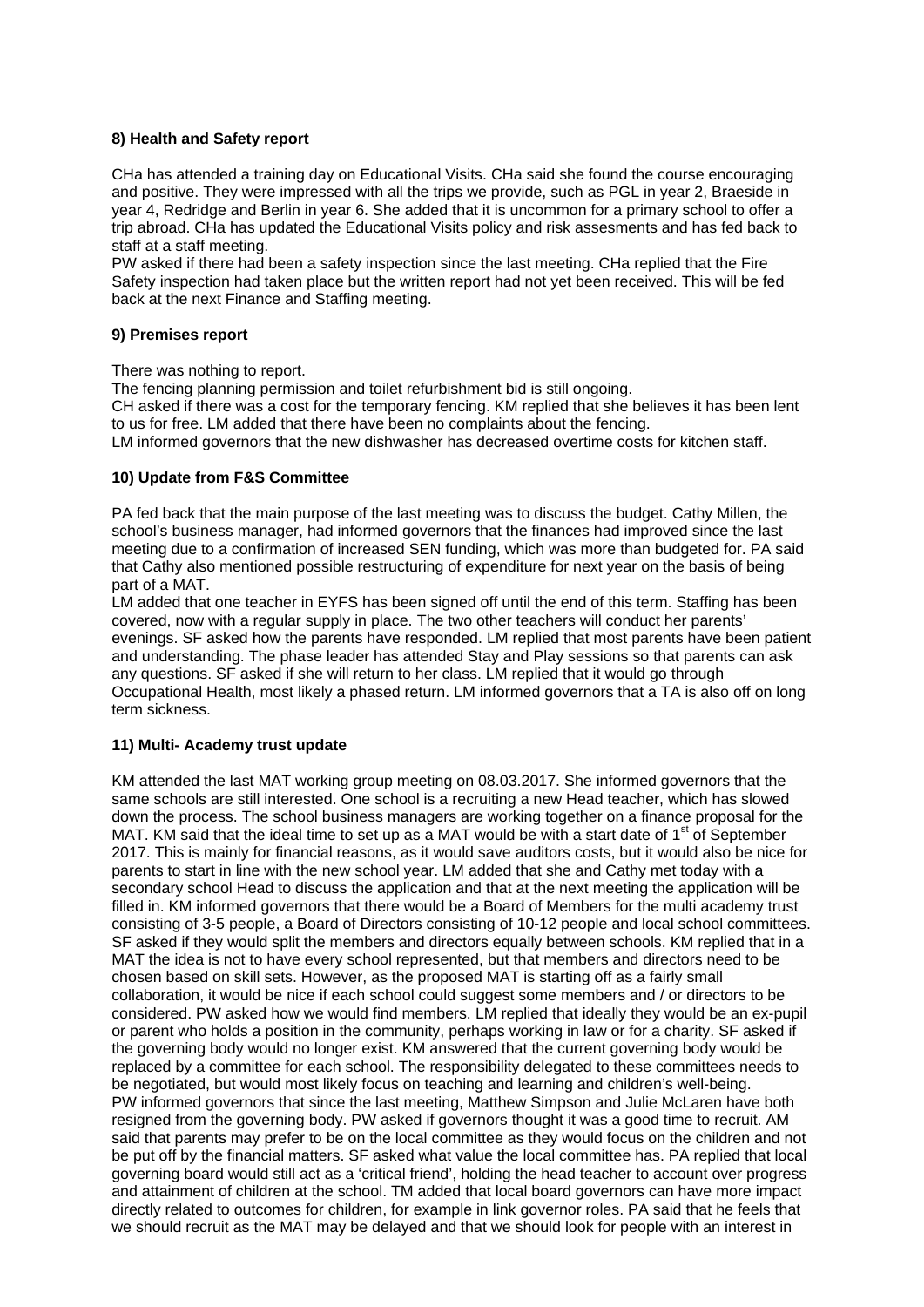## **8) Health and Safety report**

CHa has attended a training day on Educational Visits. CHa said she found the course encouraging and positive. They were impressed with all the trips we provide, such as PGL in year 2, Braeside in year 4, Redridge and Berlin in year 6. She added that it is uncommon for a primary school to offer a trip abroad. CHa has updated the Educational Visits policy and risk assesments and has fed back to staff at a staff meeting.

PW asked if there had been a safety inspection since the last meeting. CHa replied that the Fire Safety inspection had taken place but the written report had not yet been received. This will be fed back at the next Finance and Staffing meeting.

#### **9) Premises report**

There was nothing to report.

The fencing planning permission and toilet refurbishment bid is still ongoing.

CH asked if there was a cost for the temporary fencing. KM replied that she believes it has been lent to us for free. LM added that there have been no complaints about the fencing.

LM informed governors that the new dishwasher has decreased overtime costs for kitchen staff.

### **10) Update from F&S Committee**

PA fed back that the main purpose of the last meeting was to discuss the budget. Cathy Millen, the school's business manager, had informed governors that the finances had improved since the last meeting due to a confirmation of increased SEN funding, which was more than budgeted for. PA said that Cathy also mentioned possible restructuring of expenditure for next year on the basis of being part of a MAT.

LM added that one teacher in EYFS has been signed off until the end of this term. Staffing has been covered, now with a regular supply in place. The two other teachers will conduct her parents' evenings. SF asked how the parents have responded. LM replied that most parents have been patient and understanding. The phase leader has attended Stay and Play sessions so that parents can ask any questions. SF asked if she will return to her class. LM replied that it would go through Occupational Health, most likely a phased return. LM informed governors that a TA is also off on long term sickness.

# **11) Multi- Academy trust update**

KM attended the last MAT working group meeting on 08.03.2017. She informed governors that the same schools are still interested. One school is a recruiting a new Head teacher, which has slowed down the process. The school business managers are working together on a finance proposal for the MAT. KM said that the ideal time to set up as a MAT would be with a start date of 1<sup>st</sup> of September 2017. This is mainly for financial reasons, as it would save auditors costs, but it would also be nice for parents to start in line with the new school year. LM added that she and Cathy met today with a secondary school Head to discuss the application and that at the next meeting the application will be filled in. KM informed governors that there would be a Board of Members for the multi academy trust consisting of 3-5 people, a Board of Directors consisting of 10-12 people and local school committees. SF asked if they would split the members and directors equally between schools. KM replied that in a MAT the idea is not to have every school represented, but that members and directors need to be chosen based on skill sets. However, as the proposed MAT is starting off as a fairly small collaboration, it would be nice if each school could suggest some members and / or directors to be considered. PW asked how we would find members. LM replied that ideally they would be an ex-pupil or parent who holds a position in the community, perhaps working in law or for a charity. SF asked if the governing body would no longer exist. KM answered that the current governing body would be replaced by a committee for each school. The responsibility delegated to these committees needs to be negotiated, but would most likely focus on teaching and learning and children's well-being. PW informed governors that since the last meeting, Matthew Simpson and Julie McLaren have both resigned from the governing body. PW asked if governors thought it was a good time to recruit. AM said that parents may prefer to be on the local committee as they would focus on the children and not be put off by the financial matters. SF asked what value the local committee has. PA replied that local governing board would still act as a 'critical friend', holding the head teacher to account over progress and attainment of children at the school. TM added that local board governors can have more impact directly related to outcomes for children, for example in link governor roles. PA said that he feels that we should recruit as the MAT may be delayed and that we should look for people with an interest in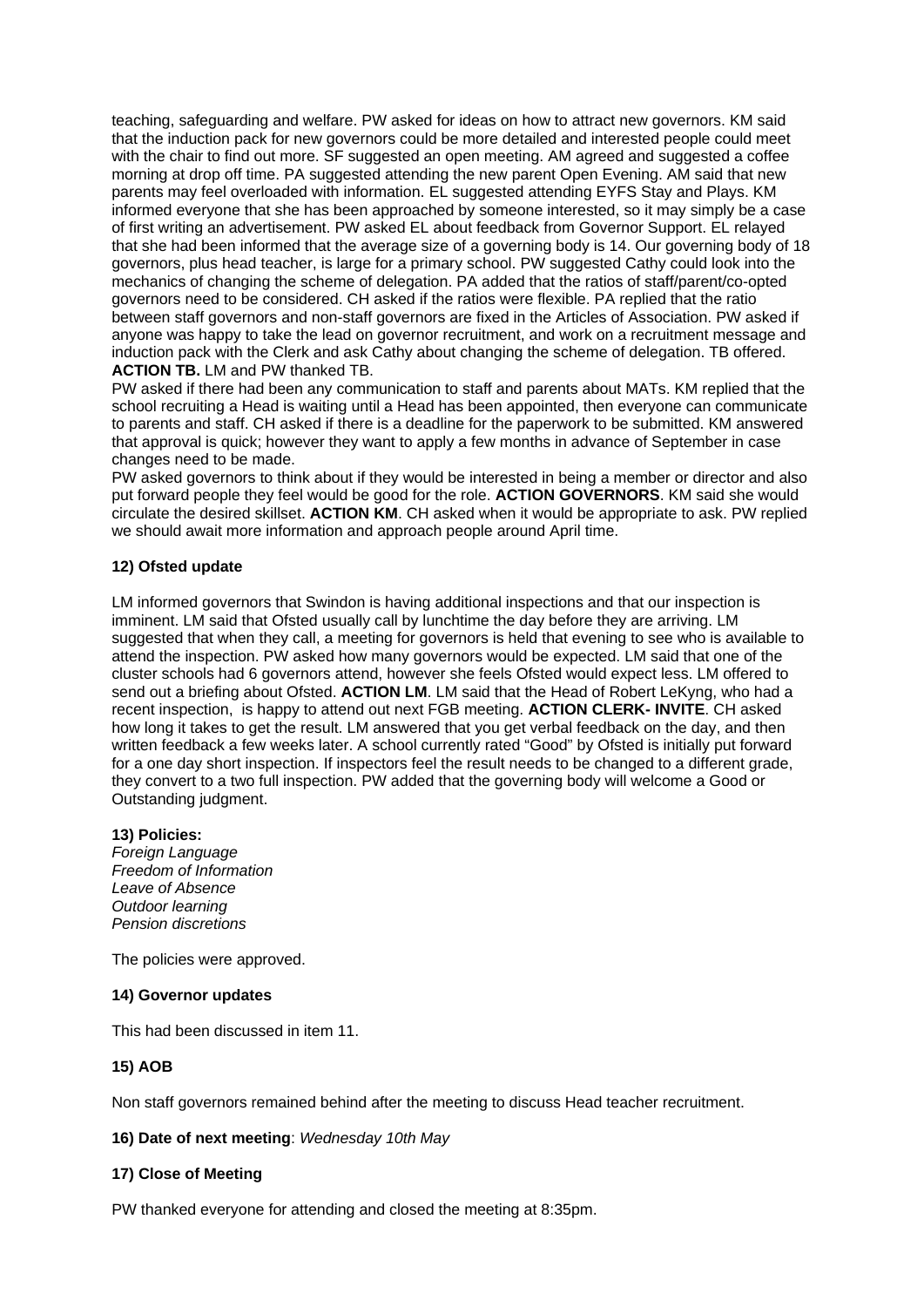teaching, safeguarding and welfare. PW asked for ideas on how to attract new governors. KM said that the induction pack for new governors could be more detailed and interested people could meet with the chair to find out more. SF suggested an open meeting. AM agreed and suggested a coffee morning at drop off time. PA suggested attending the new parent Open Evening. AM said that new parents may feel overloaded with information. EL suggested attending EYFS Stay and Plays. KM informed everyone that she has been approached by someone interested, so it may simply be a case of first writing an advertisement. PW asked EL about feedback from Governor Support. EL relayed that she had been informed that the average size of a governing body is 14. Our governing body of 18 governors, plus head teacher, is large for a primary school. PW suggested Cathy could look into the mechanics of changing the scheme of delegation. PA added that the ratios of staff/parent/co-opted governors need to be considered. CH asked if the ratios were flexible. PA replied that the ratio between staff governors and non-staff governors are fixed in the Articles of Association. PW asked if anyone was happy to take the lead on governor recruitment, and work on a recruitment message and induction pack with the Clerk and ask Cathy about changing the scheme of delegation. TB offered. **ACTION TB.** LM and PW thanked TB.

PW asked if there had been any communication to staff and parents about MATs. KM replied that the school recruiting a Head is waiting until a Head has been appointed, then everyone can communicate to parents and staff. CH asked if there is a deadline for the paperwork to be submitted. KM answered that approval is quick; however they want to apply a few months in advance of September in case changes need to be made.

PW asked governors to think about if they would be interested in being a member or director and also put forward people they feel would be good for the role. **ACTION GOVERNORS**. KM said she would circulate the desired skillset. **ACTION KM**. CH asked when it would be appropriate to ask. PW replied we should await more information and approach people around April time.

### **12) Ofsted update**

LM informed governors that Swindon is having additional inspections and that our inspection is imminent. LM said that Ofsted usually call by lunchtime the day before they are arriving. LM suggested that when they call, a meeting for governors is held that evening to see who is available to attend the inspection. PW asked how many governors would be expected. LM said that one of the cluster schools had 6 governors attend, however she feels Ofsted would expect less. LM offered to send out a briefing about Ofsted. **ACTION LM**. LM said that the Head of Robert LeKyng, who had a recent inspection, is happy to attend out next FGB meeting. **ACTION CLERK- INVITE**. CH asked how long it takes to get the result. LM answered that you get verbal feedback on the day, and then written feedback a few weeks later. A school currently rated "Good" by Ofsted is initially put forward for a one day short inspection. If inspectors feel the result needs to be changed to a different grade, they convert to a two full inspection. PW added that the governing body will welcome a Good or Outstanding judgment.

#### **13) Policies:**

*Foreign Language Freedom of Information Leave of Absence Outdoor learning Pension discretions* 

The policies were approved.

## **14) Governor updates**

This had been discussed in item 11.

# **15) AOB**

Non staff governors remained behind after the meeting to discuss Head teacher recruitment.

#### **16) Date of next meeting**: *Wednesday 10th May*

# **17) Close of Meeting**

PW thanked everyone for attending and closed the meeting at 8:35pm.